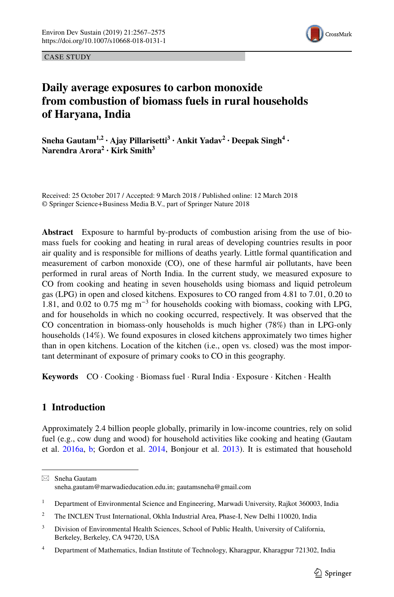

CASE STUDY

# **Daily average exposures to carbon monoxide from combustion of biomass fuels in rural households of Haryana, India**

**Sneha Gautam<sup>1,2</sup> · Ajay Pillarisetti<sup>3</sup> · Ankit Yadav<sup>2</sup> · Deepak Singh<sup>4</sup> · Narendra Arora<sup>2</sup> · Kirk Smith3**

Received: 25 October 2017 / Accepted: 9 March 2018 / Published online: 12 March 2018 © Springer Science+Business Media B.V., part of Springer Nature 2018

**Abstract** Exposure to harmful by-products of combustion arising from the use of biomass fuels for cooking and heating in rural areas of developing countries results in poor air quality and is responsible for millions of deaths yearly. Little formal quantifcation and measurement of carbon monoxide (CO), one of these harmful air pollutants, have been performed in rural areas of North India. In the current study, we measured exposure to CO from cooking and heating in seven households using biomass and liquid petroleum gas (LPG) in open and closed kitchens. Exposures to CO ranged from 4.81 to 7.01, 0.20 to 1.81, and 0.02 to 0.75 mg m−3 for households cooking with biomass, cooking with LPG, and for households in which no cooking occurred, respectively. It was observed that the CO concentration in biomass-only households is much higher (78%) than in LPG-only households (14%). We found exposures in closed kitchens approximately two times higher than in open kitchens. Location of the kitchen (i.e., open vs. closed) was the most important determinant of exposure of primary cooks to CO in this geography.

**Keywords** CO · Cooking · Biomass fuel · Rural India · Exposure · Kitchen · Health

## **1 Introduction**

Approximately 2.4 billion people globally, primarily in low-income countries, rely on solid fuel (e.g., cow dung and wood) for household activities like cooking and heating (Gautam et al. [2016a](#page-8-0), [b;](#page-8-1) Gordon et al. [2014,](#page-8-2) Bonjour et al. [2013](#page-7-0)). It is estimated that household

 $\boxtimes$  Sneha Gautam sneha.gautam@marwadieducation.edu.in; gautamsneha@gmail.com

<sup>&</sup>lt;sup>1</sup> Department of Environmental Science and Engineering, Marwadi University, Rajkot 360003, India

<sup>&</sup>lt;sup>2</sup> The INCLEN Trust International, Okhla Industrial Area, Phase-I, New Delhi 110020, India

<sup>&</sup>lt;sup>3</sup> Division of Environmental Health Sciences, School of Public Health, University of California, Berkeley, Berkeley, CA 94720, USA

<sup>&</sup>lt;sup>4</sup> Department of Mathematics, Indian Institute of Technology, Kharagpur, Kharagpur 721302, India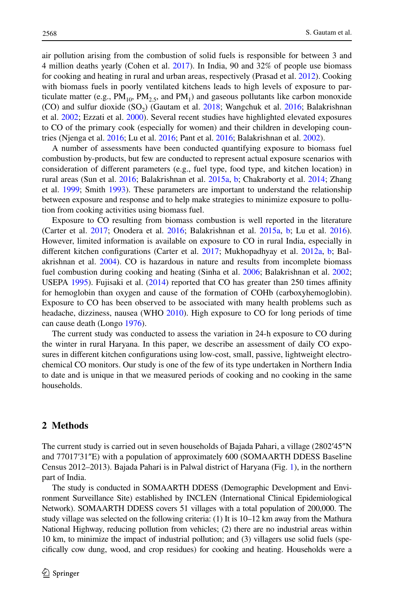air pollution arising from the combustion of solid fuels is responsible for between 3 and 4 million deaths yearly (Cohen et al. [2017\)](#page-7-1). In India, 90 and 32% of people use biomass for cooking and heating in rural and urban areas, respectively (Prasad et al. [2012](#page-8-3)). Cooking with biomass fuels in poorly ventilated kitchens leads to high levels of exposure to particulate matter (e.g.,  $PM_{10}$ ,  $PM_{2.5}$ , and  $PM_1$ ) and gaseous pollutants like carbon monoxide (CO) and sulfur dioxide  $(SO<sub>2</sub>)$  (Gautam et al. [2018;](#page-8-4) Wangchuk et al. [2016](#page-8-5); Balakrishnan et al. [2002](#page-7-2); Ezzati et al. [2000](#page-7-3)). Several recent studies have highlighted elevated exposures to CO of the primary cook (especially for women) and their children in developing countries (Njenga et al. [2016](#page-8-6); Lu et al. [2016;](#page-8-7) Pant et al. [2016;](#page-8-8) Balakrishnan et al. [2002](#page-7-2)).

A number of assessments have been conducted quantifying exposure to biomass fuel combustion by-products, but few are conducted to represent actual exposure scenarios with consideration of diferent parameters (e.g., fuel type, food type, and kitchen location) in rural areas (Sun et al. [2016;](#page-8-9) Balakrishnan et al. [2015a,](#page-7-4) [b;](#page-7-5) Chakraborty et al. [2014;](#page-7-6) Zhang et al. [1999;](#page-8-10) Smith [1993](#page-8-11)). These parameters are important to understand the relationship between exposure and response and to help make strategies to minimize exposure to pollution from cooking activities using biomass fuel.

Exposure to CO resulting from biomass combustion is well reported in the literature (Carter et al. [2017](#page-7-7); Onodera et al. [2016;](#page-8-12) Balakrishnan et al. [2015a,](#page-7-4) [b;](#page-7-5) Lu et al. [2016](#page-8-7)). However, limited information is available on exposure to CO in rural India, especially in diferent kitchen confgurations (Carter et al. [2017](#page-7-7); Mukhopadhyay et al. [2012a](#page-8-13), [b](#page-8-14); Bal-akrishnan et al. [2004](#page-7-8)). CO is hazardous in nature and results from incomplete biomass fuel combustion during cooking and heating (Sinha et al. [2006;](#page-8-15) Balakrishnan et al. [2002](#page-7-2); USEPA [1995](#page-8-16)). Fujisaki et al. [\(2014](#page-7-9)) reported that CO has greater than 250 times affinity for hemoglobin than oxygen and cause of the formation of COHb (carboxyhemoglobin). Exposure to CO has been observed to be associated with many health problems such as headache, dizziness, nausea (WHO [2010\)](#page-8-17). High exposure to CO for long periods of time can cause death (Longo [1976](#page-8-18)).

The current study was conducted to assess the variation in 24-h exposure to CO during the winter in rural Haryana. In this paper, we describe an assessment of daily CO exposures in diferent kitchen confgurations using low-cost, small, passive, lightweight electrochemical CO monitors. Our study is one of the few of its type undertaken in Northern India to date and is unique in that we measured periods of cooking and no cooking in the same households.

### **2 Methods**

The current study is carried out in seven households of Bajada Pahari, a village (2802′45″N and 77017′31″E) with a population of approximately 600 (SOMAARTH DDESS Baseline Census 2012–2013). Bajada Pahari is in Palwal district of Haryana (Fig. [1](#page-2-0)), in the northern part of India.

The study is conducted in SOMAARTH DDESS (Demographic Development and Environment Surveillance Site) established by INCLEN (International Clinical Epidemiological Network). SOMAARTH DDESS covers 51 villages with a total population of 200,000. The study village was selected on the following criteria: (1) It is 10–12 km away from the Mathura National Highway, reducing pollution from vehicles; (2) there are no industrial areas within 10 km, to minimize the impact of industrial pollution; and (3) villagers use solid fuels (specifcally cow dung, wood, and crop residues) for cooking and heating. Households were a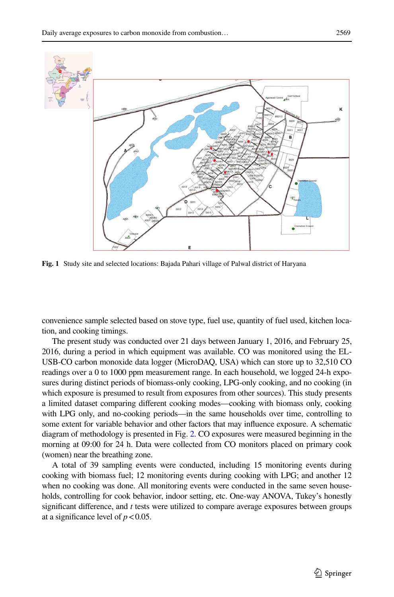

<span id="page-2-0"></span>**Fig. 1** Study site and selected locations: Bajada Pahari village of Palwal district of Haryana

convenience sample selected based on stove type, fuel use, quantity of fuel used, kitchen location, and cooking timings.

The present study was conducted over 21 days between January 1, 2016, and February 25, 2016, during a period in which equipment was available. CO was monitored using the EL-USB-CO carbon monoxide data logger (MicroDAQ, USA) which can store up to 32,510 CO readings over a 0 to 1000 ppm measurement range. In each household, we logged 24-h exposures during distinct periods of biomass-only cooking, LPG-only cooking, and no cooking (in which exposure is presumed to result from exposures from other sources). This study presents a limited dataset comparing diferent cooking modes—cooking with biomass only, cooking with LPG only, and no-cooking periods—in the same households over time, controlling to some extent for variable behavior and other factors that may infuence exposure. A schematic diagram of methodology is presented in Fig. [2.](#page-3-0) CO exposures were measured beginning in the morning at 09:00 for 24 h. Data were collected from CO monitors placed on primary cook (women) near the breathing zone.

A total of 39 sampling events were conducted, including 15 monitoring events during cooking with biomass fuel; 12 monitoring events during cooking with LPG; and another 12 when no cooking was done. All monitoring events were conducted in the same seven households, controlling for cook behavior, indoor setting, etc. One-way ANOVA, Tukey's honestly signifcant diference, and *t* tests were utilized to compare average exposures between groups at a significance level of  $p < 0.05$ .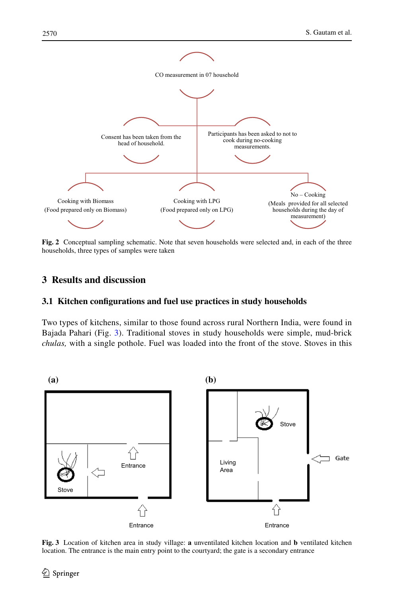

<span id="page-3-0"></span>**Fig. 2** Conceptual sampling schematic. Note that seven households were selected and, in each of the three households, three types of samples were taken

# **3 Results and discussion**

## **3.1 Kitchen confgurations and fuel use practices in study households**

Two types of kitchens, similar to those found across rural Northern India, were found in Bajada Pahari (Fig. [3](#page-3-1)). Traditional stoves in study households were simple, mud-brick *chulas,* with a single pothole. Fuel was loaded into the front of the stove. Stoves in this



<span id="page-3-1"></span>**Fig. 3** Location of kitchen area in study village: **a** unventilated kitchen location and **b** ventilated kitchen location. The entrance is the main entry point to the courtyard; the gate is a secondary entrance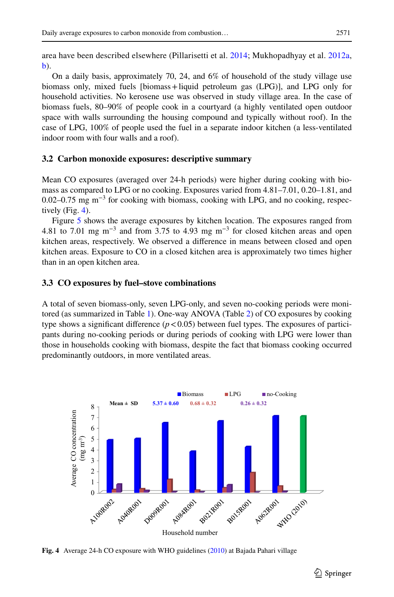area have been described elsewhere (Pillarisetti et al. [2014](#page-8-19); Mukhopadhyay et al. [2012a](#page-8-13), [b\)](#page-8-14).

On a daily basis, approximately 70, 24, and 6% of household of the study village use biomass only, mixed fuels [biomass+liquid petroleum gas (LPG)], and LPG only for household activities. No kerosene use was observed in study village area. In the case of biomass fuels, 80–90% of people cook in a courtyard (a highly ventilated open outdoor space with walls surrounding the housing compound and typically without roof). In the case of LPG, 100% of people used the fuel in a separate indoor kitchen (a less-ventilated indoor room with four walls and a roof).

#### **3.2 Carbon monoxide exposures: descriptive summary**

Mean CO exposures (averaged over 24-h periods) were higher during cooking with biomass as compared to LPG or no cooking. Exposures varied from 4.81–7.01, 0.20–1.81, and 0.02–0.75 mg m<sup>-3</sup> for cooking with biomass, cooking with LPG, and no cooking, respectively (Fig. [4\)](#page-4-0).

Figure [5](#page-5-0) shows the average exposures by kitchen location. The exposures ranged from 4.81 to 7.01 mg  $\text{m}^{-3}$  and from 3.75 to 4.93 mg  $\text{m}^{-3}$  for closed kitchen areas and open kitchen areas, respectively. We observed a diference in means between closed and open kitchen areas. Exposure to CO in a closed kitchen area is approximately two times higher than in an open kitchen area.

#### **3.3 CO exposures by fuel–stove combinations**

A total of seven biomass-only, seven LPG-only, and seven no-cooking periods were monitored (as summarized in Table [1\)](#page-5-1). One-way ANOVA (Table [2\)](#page-5-2) of CO exposures by cooking type shows a significant difference  $(p<0.05)$  between fuel types. The exposures of participants during no-cooking periods or during periods of cooking with LPG were lower than those in households cooking with biomass, despite the fact that biomass cooking occurred predominantly outdoors, in more ventilated areas.



<span id="page-4-0"></span>**Fig. 4** Average 24-h CO exposure with WHO guidelines ([2010\)](#page-8-17) at Bajada Pahari village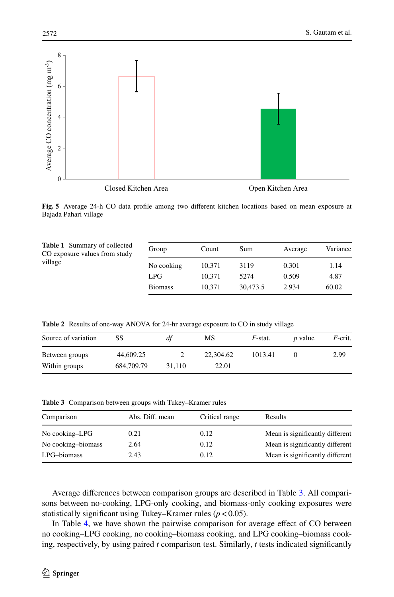

<span id="page-5-0"></span>**Fig. 5** Average 24-h CO data profle among two diferent kitchen locations based on mean exposure at Bajada Pahari village

<span id="page-5-1"></span>

| <b>Table 1</b> Summary of collected<br>CO exposure values from study<br>village | Group          | Count  | Sum      | Average | Variance |
|---------------------------------------------------------------------------------|----------------|--------|----------|---------|----------|
|                                                                                 | No cooking     | 10.371 | 3119     | 0.301   | 1.14     |
|                                                                                 | LPG.           | 10.371 | 5274     | 0.509   | 4.87     |
|                                                                                 | <b>Biomass</b> | 10.371 | 30,473.5 | 2.934   | 60.02    |

<span id="page-5-2"></span>**Table 2** Results of one-way ANOVA for 24-hr average exposure to CO in study village

| Source of variation             | SS                      | df     | МS                 | $F$ -stat. | <i>p</i> value | $F$ -crit. |
|---------------------------------|-------------------------|--------|--------------------|------------|----------------|------------|
| Between groups<br>Within groups | 44,609.25<br>684,709.79 | 31.110 | 22,304.62<br>22.01 | 1013.41    |                | 2.99       |

<span id="page-5-3"></span>**Table 3** Comparison between groups with Tukey–Kramer rules

| Comparison<br>Abs. Diff. mean<br>Critical range | Results                         |
|-------------------------------------------------|---------------------------------|
|                                                 |                                 |
| No cooking-LPG<br>0.21<br>0.12                  | Mean is significantly different |
| No cooking-biomass<br>2.64<br>0.12              | Mean is significantly different |
| LPG-biomass<br>0.12<br>2.43                     | Mean is significantly different |

Average diferences between comparison groups are described in Table [3](#page-5-3). All comparisons between no-cooking, LPG-only cooking, and biomass-only cooking exposures were statistically significant using Tukey–Kramer rules  $(p < 0.05)$ .

In Table [4](#page-6-0), we have shown the pairwise comparison for average effect of CO between no cooking–LPG cooking, no cooking–biomass cooking, and LPG cooking–biomass cooking, respectively, by using paired *t* comparison test. Similarly, *t* tests indicated signifcantly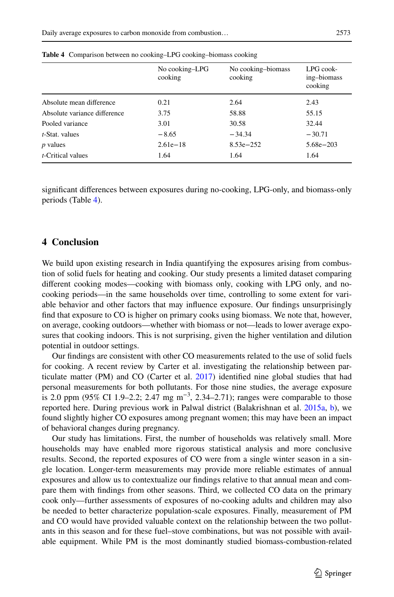|                              | No cooking-LPG<br>cooking | No cooking-biomass<br>cooking | LPG cook-<br>ing-biomass<br>cooking |
|------------------------------|---------------------------|-------------------------------|-------------------------------------|
| Absolute mean difference     | 0.21                      | 2.64                          | 2.43                                |
| Absolute variance difference | 3.75                      | 58.88                         | 55.15                               |
| Pooled variance              | 3.01                      | 30.58                         | 32.44                               |
| <i>t</i> -Stat. values       | $-8.65$                   | $-34.34$                      | $-30.71$                            |
| <i>p</i> values              | $2.61e-18$                | $8.53e - 252$                 | $5.68e - 203$                       |
| <i>t</i> -Critical values    | 1.64                      | 1.64                          | 1.64                                |

<span id="page-6-0"></span>**Table 4** Comparison between no cooking–LPG cooking–biomass cooking

signifcant diferences between exposures during no-cooking, LPG-only, and biomass-only periods (Table [4\)](#page-6-0).

## **4 Conclusion**

We build upon existing research in India quantifying the exposures arising from combustion of solid fuels for heating and cooking. Our study presents a limited dataset comparing diferent cooking modes—cooking with biomass only, cooking with LPG only, and nocooking periods—in the same households over time, controlling to some extent for variable behavior and other factors that may infuence exposure. Our fndings unsurprisingly fnd that exposure to CO is higher on primary cooks using biomass. We note that, however, on average, cooking outdoors—whether with biomass or not—leads to lower average exposures that cooking indoors. This is not surprising, given the higher ventilation and dilution potential in outdoor settings.

Our fndings are consistent with other CO measurements related to the use of solid fuels for cooking. A recent review by Carter et al. investigating the relationship between particulate matter (PM) and CO (Carter et al. [2017](#page-7-7)) identifed nine global studies that had personal measurements for both pollutants. For those nine studies, the average exposure is 2.0 ppm (95% CI 1.9–2.2; 2.47 mg m<sup>-3</sup>, 2.34–2.71); ranges were comparable to those reported here. During previous work in Palwal district (Balakrishnan et al. [2015a,](#page-7-4) [b](#page-7-5)), we found slightly higher CO exposures among pregnant women; this may have been an impact of behavioral changes during pregnancy.

Our study has limitations. First, the number of households was relatively small. More households may have enabled more rigorous statistical analysis and more conclusive results. Second, the reported exposures of CO were from a single winter season in a single location. Longer-term measurements may provide more reliable estimates of annual exposures and allow us to contextualize our fndings relative to that annual mean and compare them with fndings from other seasons. Third, we collected CO data on the primary cook only—further assessments of exposures of no-cooking adults and children may also be needed to better characterize population-scale exposures. Finally, measurement of PM and CO would have provided valuable context on the relationship between the two pollutants in this season and for these fuel–stove combinations, but was not possible with available equipment. While PM is the most dominantly studied biomass-combustion-related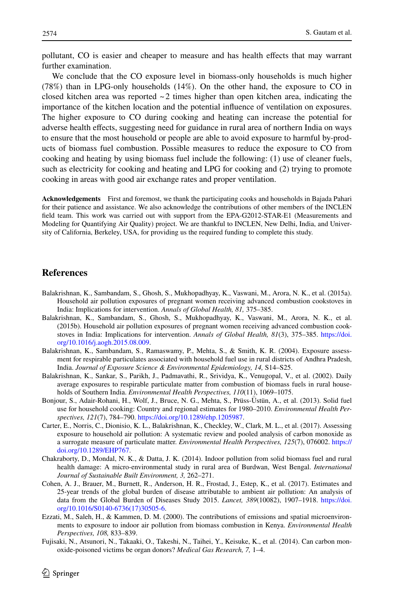pollutant, CO is easier and cheaper to measure and has health efects that may warrant further examination.

We conclude that the CO exposure level in biomass-only households is much higher (78%) than in LPG-only households (14%). On the other hand, the exposure to CO in closed kitchen area was reported  $\sim$  2 times higher than open kitchen area, indicating the importance of the kitchen location and the potential infuence of ventilation on exposures. The higher exposure to CO during cooking and heating can increase the potential for adverse health efects, suggesting need for guidance in rural area of northern India on ways to ensure that the most household or people are able to avoid exposure to harmful by-products of biomass fuel combustion. Possible measures to reduce the exposure to CO from cooking and heating by using biomass fuel include the following: (1) use of cleaner fuels, such as electricity for cooking and heating and LPG for cooking and (2) trying to promote cooking in areas with good air exchange rates and proper ventilation.

**Acknowledgements** First and foremost, we thank the participating cooks and households in Bajada Pahari for their patience and assistance. We also acknowledge the contributions of other members of the INCLEN feld team. This work was carried out with support from the EPA-G2012-STAR-E1 (Measurements and Modeling for Quantifying Air Quality) project. We are thankful to INCLEN, New Delhi, India, and University of California, Berkeley, USA, for providing us the required funding to complete this study.

## **References**

- <span id="page-7-4"></span>Balakrishnan, K., Sambandam, S., Ghosh, S., Mukhopadhyay, K., Vaswani, M., Arora, N. K., et al. (2015a). Household air pollution exposures of pregnant women receiving advanced combustion cookstoves in India: Implications for intervention. *Annals of Global Health, 81,* 375–385.
- <span id="page-7-5"></span>Balakrishnan, K., Sambandam, S., Ghosh, S., Mukhopadhyay, K., Vaswani, M., Arora, N. K., et al. (2015b). Household air pollution exposures of pregnant women receiving advanced combustion cookstoves in India: Implications for intervention. *Annals of Global Health, 81*(3), 375–385. [https://doi.](https://doi.org/10.1016/j.aogh.2015.08.009) [org/10.1016/j.aogh.2015.08.009.](https://doi.org/10.1016/j.aogh.2015.08.009)
- <span id="page-7-8"></span>Balakrishnan, K., Sambandam, S., Ramaswamy, P., Mehta, S., & Smith, K. R. (2004). Exposure assessment for respirable particulates associated with household fuel use in rural districts of Andhra Pradesh, India. *Journal of Exposure Science & Environmental Epidemiology, 14,* S14–S25.
- <span id="page-7-2"></span>Balakrishnan, K., Sankar, S., Parikh, J., Padmavathi, R., Srividya, K., Venugopal, V., et al. (2002). Daily average exposures to respirable particulate matter from combustion of biomass fuels in rural households of Southern India. *Environmental Health Perspectives, 110*(11), 1069–1075.
- <span id="page-7-0"></span>Bonjour, S., Adair-Rohani, H., Wolf, J., Bruce, N. G., Mehta, S., Prüss-Üstün, A., et al. (2013). Solid fuel use for household cooking: Country and regional estimates for 1980–2010. *Environmental Health Perspectives, 121*(7), 784–790. [https://doi.org/10.1289/ehp.1205987.](https://doi.org/10.1289/ehp.1205987)
- <span id="page-7-7"></span>Carter, E., Norris, C., Dionisio, K. L., Balakrishnan, K., Checkley, W., Clark, M. L., et al. (2017). Assessing exposure to household air pollution: A systematic review and pooled analysis of carbon monoxide as a surrogate measure of particulate matter. *Environmental Health Perspectives, 125*(7), 076002. [https://](https://doi.org/10.1289/EHP767) [doi.org/10.1289/EHP767](https://doi.org/10.1289/EHP767).
- <span id="page-7-6"></span>Chakraborty, D., Mondal, N. K., & Datta, J. K. (2014). Indoor pollution from solid biomass fuel and rural health damage: A micro-environmental study in rural area of Burdwan, West Bengal. *International Journal of Sustainable Built Environment, 3,* 262–271.
- <span id="page-7-1"></span>Cohen, A. J., Brauer, M., Burnett, R., Anderson, H. R., Frostad, J., Estep, K., et al. (2017). Estimates and 25-year trends of the global burden of disease attributable to ambient air pollution: An analysis of data from the Global Burden of Diseases Study 2015. *Lancet, 389*(10082), 1907–1918. [https://doi.](https://doi.org/10.1016/S0140-6736(17)30505-6) [org/10.1016/S0140-6736\(17\)30505-6.](https://doi.org/10.1016/S0140-6736(17)30505-6)
- <span id="page-7-3"></span>Ezzati, M., Saleh, H., & Kammen, D. M. (2000). The contributions of emissions and spatial microenvironments to exposure to indoor air pollution from biomass combustion in Kenya. *Environmental Health Perspectives, 108,* 833–839.
- <span id="page-7-9"></span>Fujisaki, N., Atsunori, N., Takaaki, O., Takeshi, N., Taihei, Y., Keisuke, K., et al. (2014). Can carbon monoxide-poisoned victims be organ donors? *Medical Gas Research, 7,* 1–4.